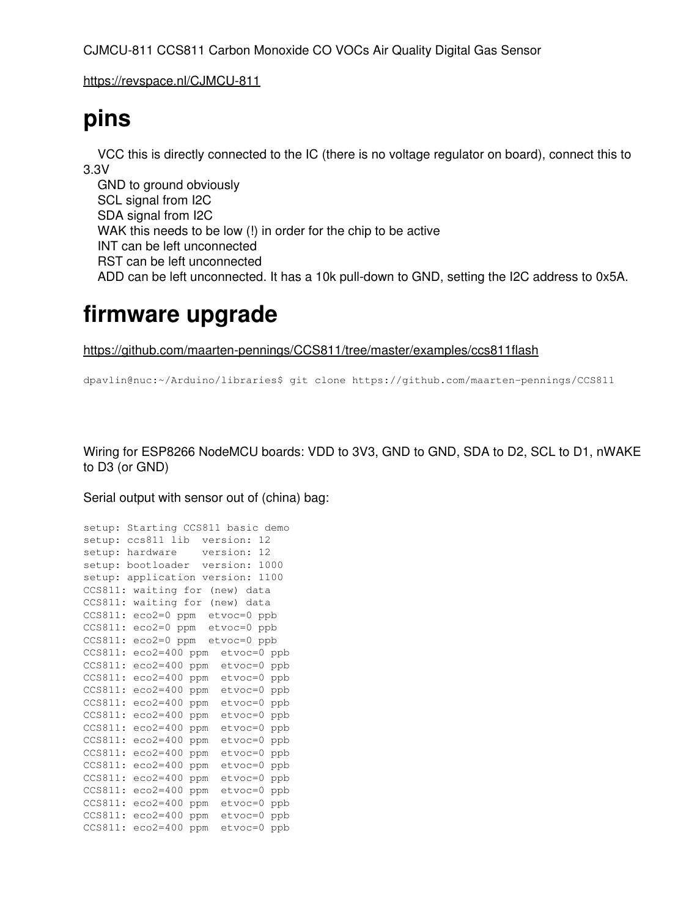CJMCU-811 CCS811 Carbon Monoxide CO VOCs Air Quality Digital Gas Sensor

<https://revspace.nl/CJMCU-811>

## **pins**

 VCC this is directly connected to the IC (there is no voltage regulator on board), connect this to 3.3V

 GND to ground obviously SCL signal from I2C SDA signal from I2C WAK this needs to be low (!) in order for the chip to be active INT can be left unconnected RST can be left unconnected ADD can be left unconnected. It has a 10k pull-down to GND, setting the I2C address to 0x5A.

## **firmware upgrade**

<https://github.com/maarten-pennings/CCS811/tree/master/examples/ccs811flash>

dpavlin@nuc:~/Arduino/libraries\$ git clone https://github.com/maarten-pennings/CCS811

Wiring for ESP8266 NodeMCU boards: VDD to 3V3, GND to GND, SDA to D2, SCL to D1, nWAKE to D3 (or GND)

Serial output with sensor out of (china) bag:

| setup:  | Starting CCS811 basic demo |     |                 |      |
|---------|----------------------------|-----|-----------------|------|
| setup:  | ccs811 lib                 |     | version:<br>12. |      |
| setup:  | hardware                   |     | 12<br>version:  |      |
| setup:  | bootloader                 |     | version:        | 1000 |
| setup:  | application                |     | version:        | 1100 |
| CCS811: | waiting for                |     | (new) data      |      |
| CCS811: | waiting for (new)          |     | data            |      |
| CCS811: | eco2=0 ppm                 |     | etvoc=0 ppb     |      |
| CCS811: | $eco2=0$                   | ppm | etvoc=0<br>ppb  |      |
| CCS811: | eco2=0 ppm                 |     | etvoc=0 ppb     |      |
| CCS811: | $eco2=400$                 | ppm | $etvoc=0$       | ppb  |
| CCS811: | $e$ co2=400                | ppm | $etvoc=0$       | ppb  |
| CCS811: | $e$ co2=400                | ppm | $etvoc=0$       | ppb  |
| CCS811: | $e$ co2=400                | ppm | $etvoc=0$       | ppb  |
| CCS811: | $eco2=400$                 | ppm | $etvoc=0$       | ppb  |
| CCS811: | $e$ co2=400                | ppm | $etvoc=0$       | ppb  |
| CCS811: | $e$ co2=400                | ppm | $etvoc=0$       | ppb  |
| CCS811: | $eco2=400$                 | ppm | etvoc=0         | ppb  |
| CCS811: | $e$ co2=400                | ppm | etvoc=0         | ppb  |
| CCS811: | $e$ co2=400                | ppm | etvoc=0         | ppb  |
| CCS811: | $eco2=400$                 | ppm | etvoc=0         | ppb  |
| CCS811: | $e$ co2=400                | ppm | etvoc=0         | ppb  |
| CCS811: | $e$ co2=400                | ppm | etvoc=0         | ppb  |
| CCS811: | $e$ co2=400                | ppm | etvoc=0         | ppb  |
| CCS811: | $e$ co2=400                | ppm | etvoc=0         | ppb  |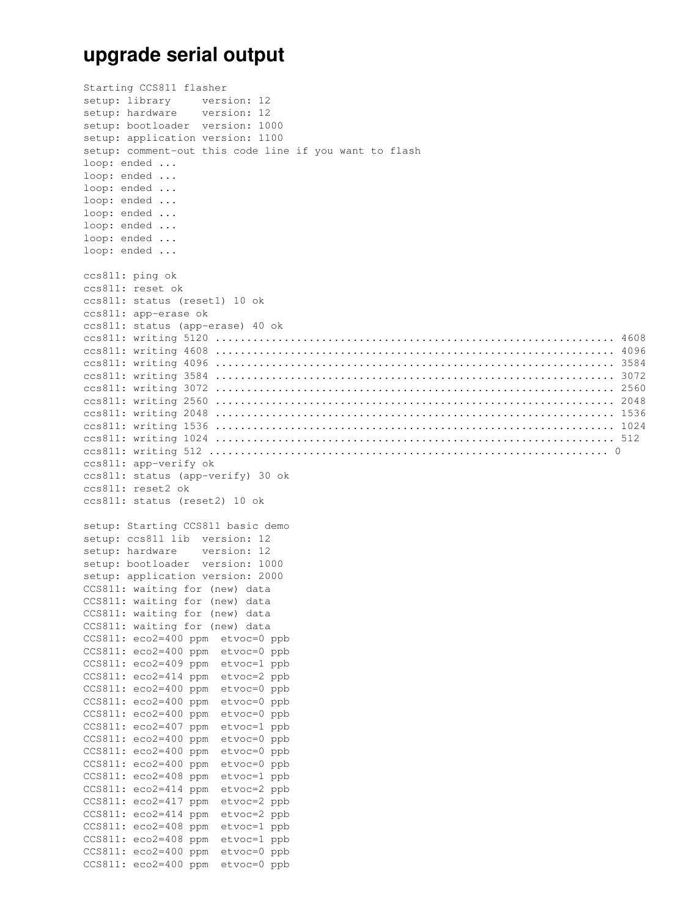## **upgrade serial output**

Starting CCS811 flasher setup: library version: 12 setup: hardware version: 12 setup: bootloader version: 1000 setup: application version: 1100 setup: comment-out this code line if you want to flash loop: ended ... loop: ended ... loop: ended ... loop: ended ... loop: ended ... loop: ended ... loop: ended ... loop: ended ... ccs811: ping ok ccs811: reset ok ccs811: status (reset1) 10 ok ccs811: app-erase ok ccs811: status (app-erase) 40 ok ccs811: writing 5120 ................................................................ 4608 ccs811: writing 4608 ................................................................ 4096 ccs811: writing 4096 ................................................................ 3584 ccs811: writing 3584 ................................................................ 3072 ccs811: writing 3072 ................................................................ 2560 ccs811: writing 2560 ................................................................ 2048 ccs811: writing 2048 ................................................................ 1536 ccs811: writing 1536 ................................................................ 1024 ccs811: writing 1024 ................................................................ 512 ccs811: writing 512 ................................................................ 0 ccs811: app-verify ok ccs811: status (app-verify) 30 ok ccs811: reset2 ok ccs811: status (reset2) 10 ok setup: Starting CCS811 basic demo setup: ccs811 lib version: 12 setup: hardware version: 12 setup: bootloader version: 1000 setup: application version: 2000 CCS811: waiting for (new) data CCS811: waiting for (new) data CCS811: waiting for (new) data CCS811: waiting for (new) data CCS811: eco2=400 ppm etvoc=0 ppb CCS811: eco2=400 ppm etvoc=0 ppb CCS811: eco2=409 ppm etvoc=1 ppb CCS811: eco2=414 ppm etvoc=2 ppb CCS811: eco2=400 ppm etvoc=0 ppb CCS811: eco2=400 ppm etvoc=0 ppb CCS811: eco2=400 ppm etvoc=0 ppb CCS811: eco2=407 ppm etvoc=1 ppb CCS811: eco2=400 ppm etvoc=0 ppb CCS811: eco2=400 ppm etvoc=0 ppb CCS811: eco2=400 ppm etvoc=0 ppb CCS811: eco2=408 ppm etvoc=1 ppb CCS811: eco2=414 ppm etvoc=2 ppb CCS811: eco2=417 ppm etvoc=2 ppb CCS811: eco2=414 ppm etvoc=2 ppb CCS811: eco2=408 ppm etvoc=1 ppb CCS811: eco2=408 ppm etvoc=1 ppb CCS811: eco2=400 ppm etvoc=0 ppb CCS811: eco2=400 ppm etvoc=0 ppb